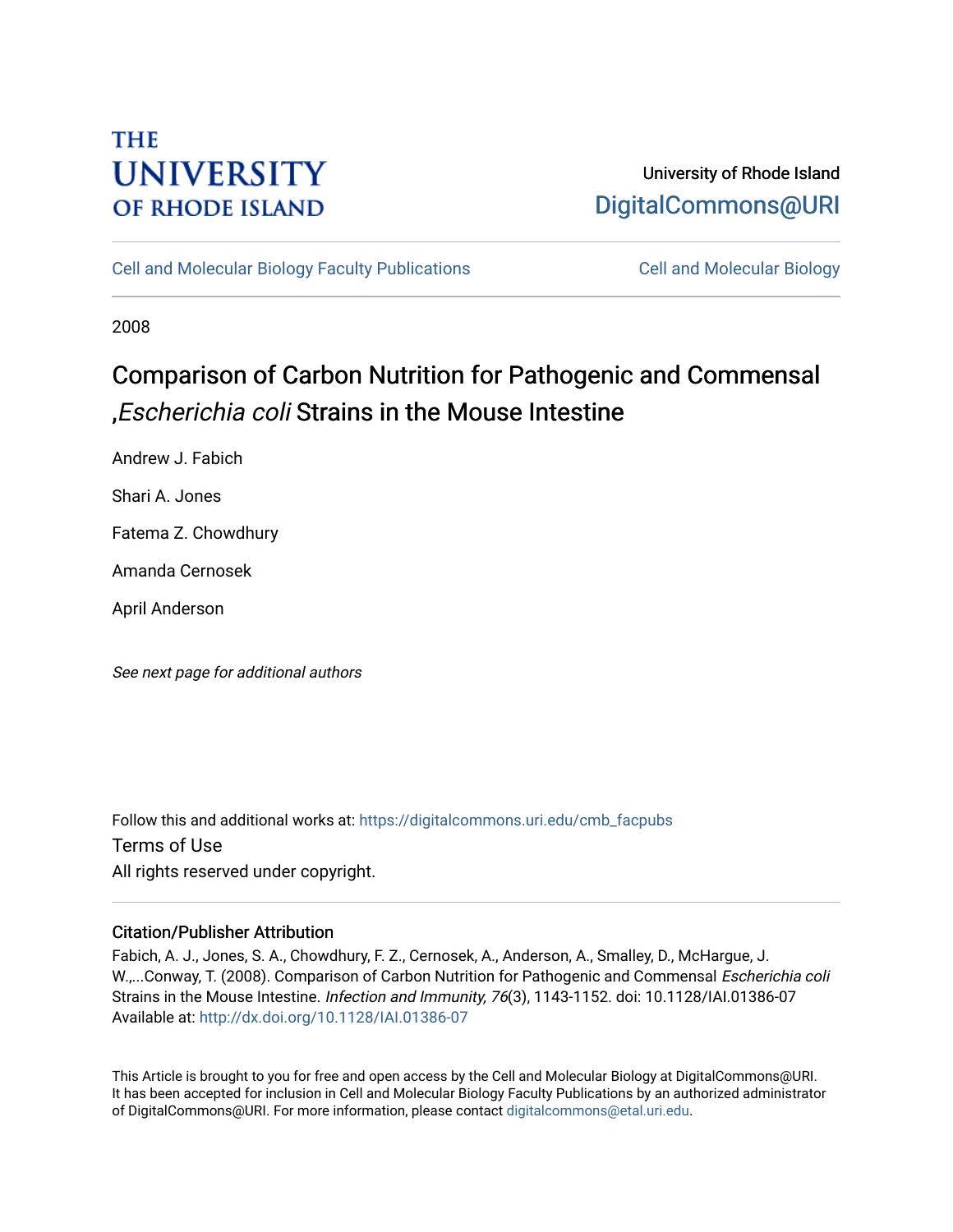# **THE UNIVERSITY OF RHODE ISLAND**

## University of Rhode Island [DigitalCommons@URI](https://digitalcommons.uri.edu/)

[Cell and Molecular Biology Faculty Publications](https://digitalcommons.uri.edu/cmb_facpubs) [Cell and Molecular Biology](https://digitalcommons.uri.edu/cmb) 

2008

# Comparison of Carbon Nutrition for Pathogenic and Commensal ,Escherichia coli Strains in the Mouse Intestine

Andrew J. Fabich

Shari A. Jones

Fatema Z. Chowdhury

Amanda Cernosek

April Anderson

See next page for additional authors

Follow this and additional works at: [https://digitalcommons.uri.edu/cmb\\_facpubs](https://digitalcommons.uri.edu/cmb_facpubs?utm_source=digitalcommons.uri.edu%2Fcmb_facpubs%2F67&utm_medium=PDF&utm_campaign=PDFCoverPages)  Terms of Use All rights reserved under copyright.

### Citation/Publisher Attribution

Fabich, A. J., Jones, S. A., Chowdhury, F. Z., Cernosek, A., Anderson, A., Smalley, D., McHargue, J. W.,...Conway, T. (2008). Comparison of Carbon Nutrition for Pathogenic and Commensal Escherichia coli Strains in the Mouse Intestine. Infection and Immunity, 76(3), 1143-1152. doi: 10.1128/IAI.01386-07 Available at:<http://dx.doi.org/10.1128/IAI.01386-07>

This Article is brought to you for free and open access by the Cell and Molecular Biology at DigitalCommons@URI. It has been accepted for inclusion in Cell and Molecular Biology Faculty Publications by an authorized administrator of DigitalCommons@URI. For more information, please contact [digitalcommons@etal.uri.edu](mailto:digitalcommons@etal.uri.edu).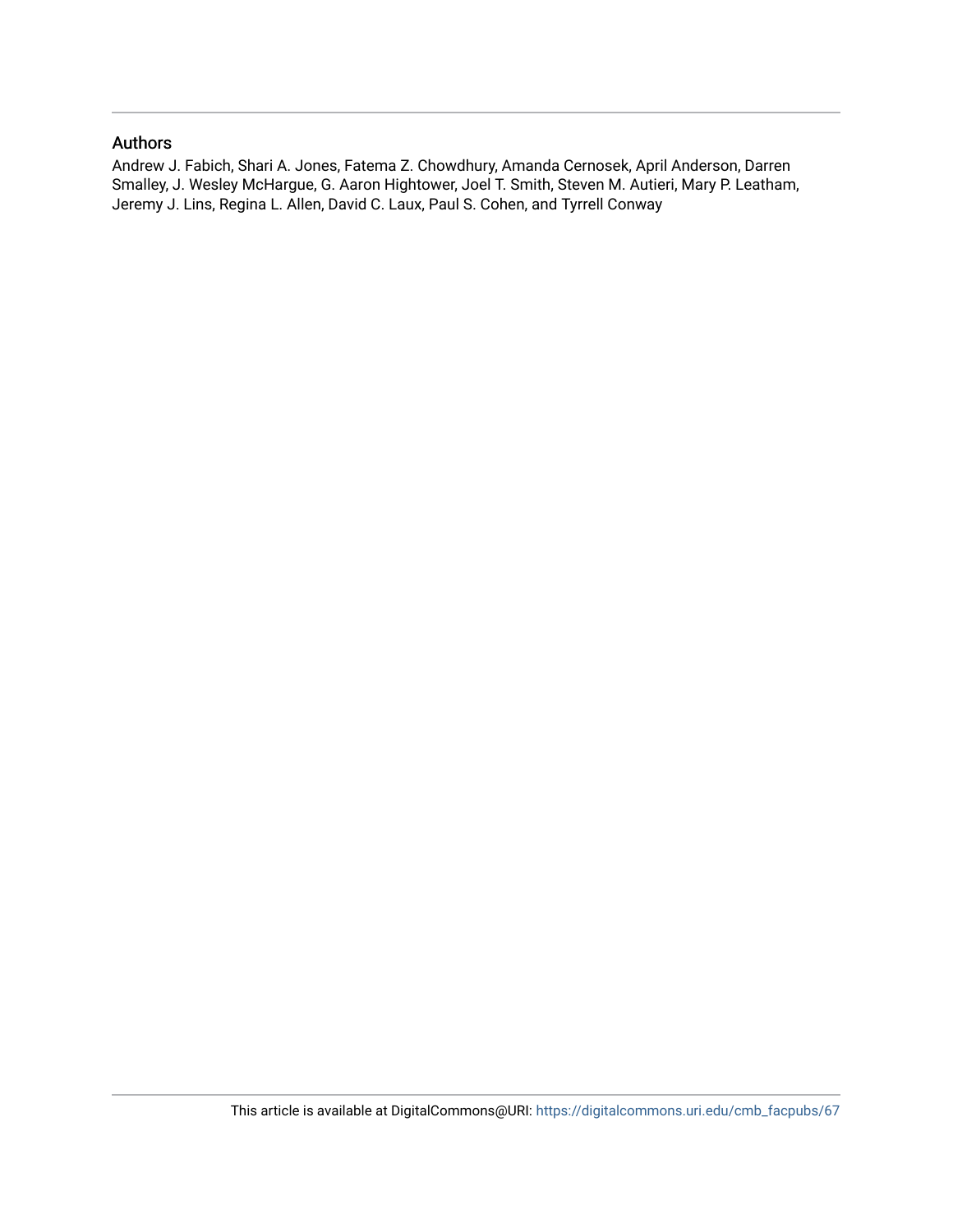### Authors

Andrew J. Fabich, Shari A. Jones, Fatema Z. Chowdhury, Amanda Cernosek, April Anderson, Darren Smalley, J. Wesley McHargue, G. Aaron Hightower, Joel T. Smith, Steven M. Autieri, Mary P. Leatham, Jeremy J. Lins, Regina L. Allen, David C. Laux, Paul S. Cohen, and Tyrrell Conway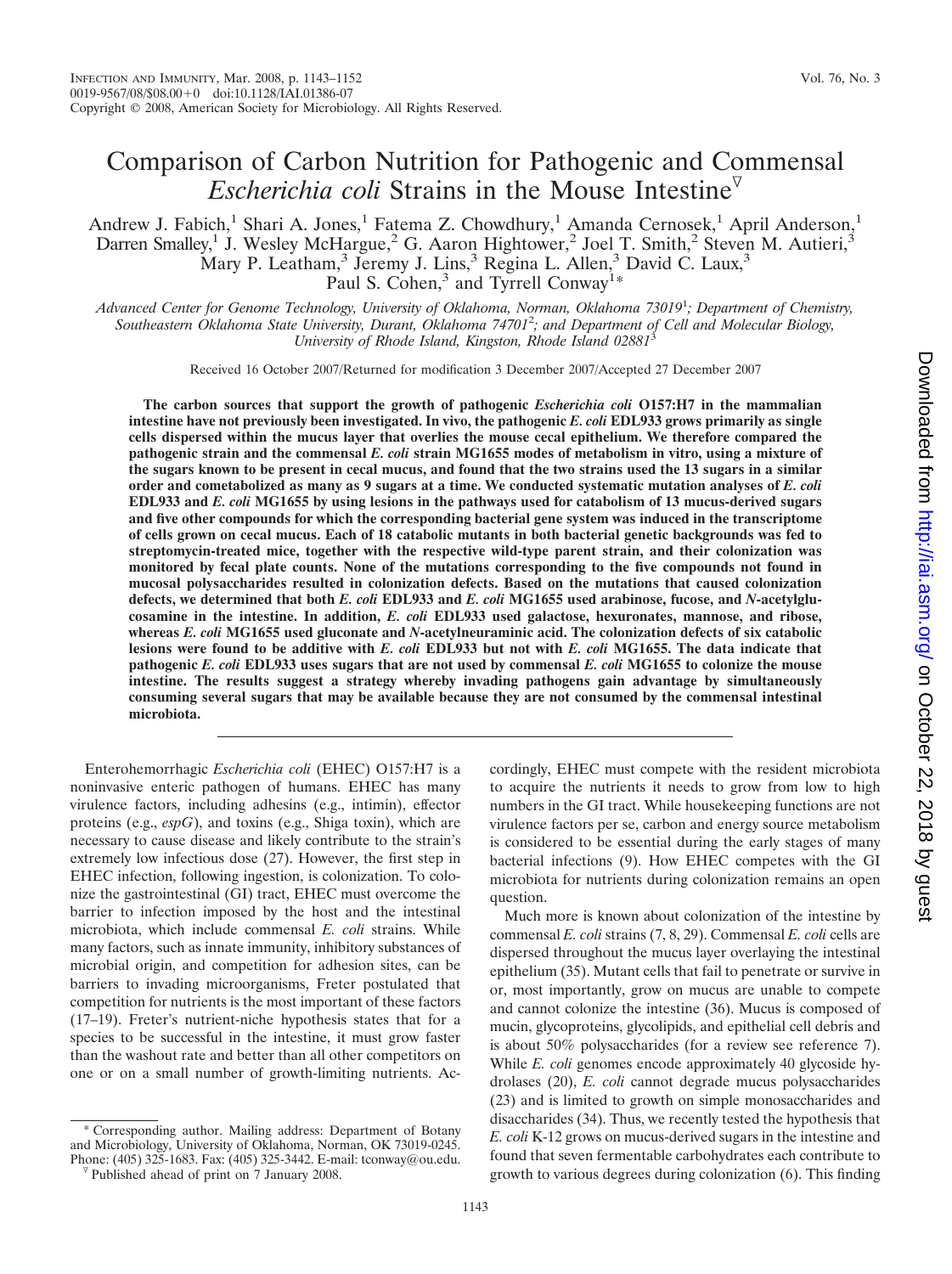## Comparison of Carbon Nutrition for Pathogenic and Commensal *Escherichia coli* Strains in the Mouse Intestine<sup> $\triangledown$ </sup>

Andrew J. Fabich,<sup>1</sup> Shari A. Jones,<sup>1</sup> Fatema Z. Chowdhury,<sup>1</sup> Amanda Cernosek,<sup>1</sup> April Anderson,<sup>1</sup> Darren Smalley,<sup>1</sup> J. Wesley McHargue,<sup>2</sup> G. Aaron Hightower,<sup>2</sup> Joel T. Smith,<sup>2</sup> Steven M. Autieri,<sup>3</sup> Mary P. Leatham,<sup>3</sup> Jeremy J. Lins,<sup>3</sup> Regina L. Allen,<sup>3</sup> David C. Laux,<sup>3</sup> Paul S. Cohen,<sup>3</sup> and Tyrrell Conway<sup>1\*</sup>

*Advanced Center for Genome Technology, University of Oklahoma, Norman, Oklahoma 73019*<sup>1</sup> *; Department of Chemistry, Southeastern Oklahoma State University, Durant, Oklahoma 74701*<sup>2</sup> *; and Department of Cell and Molecular Biology, University of Rhode Island, Kingston, Rhode Island 02881*<sup>3</sup>

Received 16 October 2007/Returned for modification 3 December 2007/Accepted 27 December 2007

**The carbon sources that support the growth of pathogenic** *Escherichia coli* **O157:H7 in the mammalian intestine have not previously been investigated. In vivo, the pathogenic** *E. coli* **EDL933 grows primarily as single cells dispersed within the mucus layer that overlies the mouse cecal epithelium. We therefore compared the pathogenic strain and the commensal** *E. coli* **strain MG1655 modes of metabolism in vitro, using a mixture of the sugars known to be present in cecal mucus, and found that the two strains used the 13 sugars in a similar order and cometabolized as many as 9 sugars at a time. We conducted systematic mutation analyses of** *E. coli* **EDL933 and** *E. coli* **MG1655 by using lesions in the pathways used for catabolism of 13 mucus-derived sugars and five other compounds for which the corresponding bacterial gene system was induced in the transcriptome of cells grown on cecal mucus. Each of 18 catabolic mutants in both bacterial genetic backgrounds was fed to streptomycin-treated mice, together with the respective wild-type parent strain, and their colonization was monitored by fecal plate counts. None of the mutations corresponding to the five compounds not found in mucosal polysaccharides resulted in colonization defects. Based on the mutations that caused colonization defects, we determined that both** *E. coli* **EDL933 and** *E. coli* **MG1655 used arabinose, fucose, and** *N***-acetylglucosamine in the intestine. In addition,** *E. coli* **EDL933 used galactose, hexuronates, mannose, and ribose, whereas** *E. coli* **MG1655 used gluconate and** *N***-acetylneuraminic acid. The colonization defects of six catabolic lesions were found to be additive with** *E. coli* **EDL933 but not with** *E. coli* **MG1655. The data indicate that pathogenic** *E. coli* **EDL933 uses sugars that are not used by commensal** *E. coli* **MG1655 to colonize the mouse intestine. The results suggest a strategy whereby invading pathogens gain advantage by simultaneously consuming several sugars that may be available because they are not consumed by the commensal intestinal microbiota.**

Enterohemorrhagic *Escherichia coli* (EHEC) O157:H7 is a noninvasive enteric pathogen of humans. EHEC has many virulence factors, including adhesins (e.g., intimin), effector proteins (e.g., *espG*), and toxins (e.g., Shiga toxin), which are necessary to cause disease and likely contribute to the strain's extremely low infectious dose (27). However, the first step in EHEC infection, following ingestion, is colonization. To colonize the gastrointestinal (GI) tract, EHEC must overcome the barrier to infection imposed by the host and the intestinal microbiota, which include commensal *E. coli* strains. While many factors, such as innate immunity, inhibitory substances of microbial origin, and competition for adhesion sites, can be barriers to invading microorganisms, Freter postulated that competition for nutrients is the most important of these factors (17–19). Freter's nutrient-niche hypothesis states that for a species to be successful in the intestine, it must grow faster than the washout rate and better than all other competitors on one or on a small number of growth-limiting nutrients. Ac-

Corresponding author. Mailing address: Department of Botany and Microbiology, University of Oklahoma, Norman, OK 73019-0245. Phone: (405) 325-1683. Fax: (405) 325-3442. E-mail: tconway@ou.edu. <sup> $\triangledown$ </sup> Published ahead of print on 7 January 2008.

cordingly, EHEC must compete with the resident microbiota to acquire the nutrients it needs to grow from low to high numbers in the GI tract. While housekeeping functions are not virulence factors per se, carbon and energy source metabolism is considered to be essential during the early stages of many bacterial infections (9). How EHEC competes with the GI microbiota for nutrients during colonization remains an open question.

Much more is known about colonization of the intestine by commensal *E. coli* strains (7, 8, 29). Commensal *E. coli* cells are dispersed throughout the mucus layer overlaying the intestinal epithelium (35). Mutant cells that fail to penetrate or survive in or, most importantly, grow on mucus are unable to compete and cannot colonize the intestine (36). Mucus is composed of mucin, glycoproteins, glycolipids, and epithelial cell debris and is about 50% polysaccharides (for a review see reference 7). While *E. coli* genomes encode approximately 40 glycoside hydrolases (20), *E. coli* cannot degrade mucus polysaccharides (23) and is limited to growth on simple monosaccharides and disaccharides (34). Thus, we recently tested the hypothesis that *E. coli* K-12 grows on mucus-derived sugars in the intestine and found that seven fermentable carbohydrates each contribute to growth to various degrees during colonization (6). This finding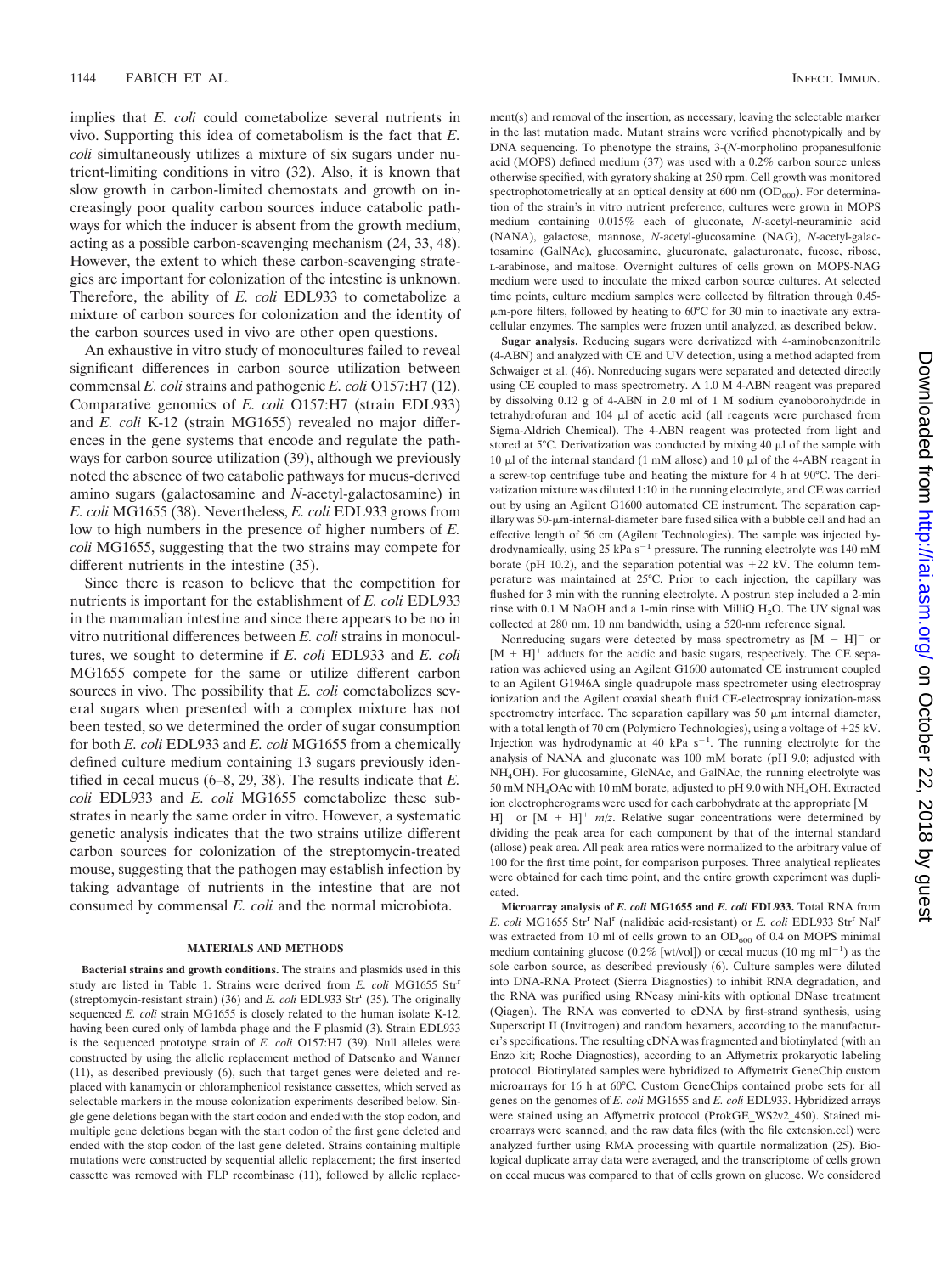implies that *E. coli* could cometabolize several nutrients in vivo. Supporting this idea of cometabolism is the fact that *E. coli* simultaneously utilizes a mixture of six sugars under nutrient-limiting conditions in vitro (32). Also, it is known that slow growth in carbon-limited chemostats and growth on increasingly poor quality carbon sources induce catabolic pathways for which the inducer is absent from the growth medium, acting as a possible carbon-scavenging mechanism (24, 33, 48). However, the extent to which these carbon-scavenging strategies are important for colonization of the intestine is unknown. Therefore, the ability of *E. coli* EDL933 to cometabolize a mixture of carbon sources for colonization and the identity of the carbon sources used in vivo are other open questions.

An exhaustive in vitro study of monocultures failed to reveal significant differences in carbon source utilization between commensal *E. coli* strains and pathogenic *E. coli* O157:H7 (12). Comparative genomics of *E. coli* O157:H7 (strain EDL933) and *E. coli* K-12 (strain MG1655) revealed no major differences in the gene systems that encode and regulate the pathways for carbon source utilization (39), although we previously noted the absence of two catabolic pathways for mucus-derived amino sugars (galactosamine and *N*-acetyl-galactosamine) in *E. coli* MG1655 (38). Nevertheless, *E. coli* EDL933 grows from low to high numbers in the presence of higher numbers of *E. coli* MG1655, suggesting that the two strains may compete for different nutrients in the intestine (35).

Since there is reason to believe that the competition for nutrients is important for the establishment of *E. coli* EDL933 in the mammalian intestine and since there appears to be no in vitro nutritional differences between *E. coli* strains in monocultures, we sought to determine if *E. coli* EDL933 and *E. coli* MG1655 compete for the same or utilize different carbon sources in vivo. The possibility that *E. coli* cometabolizes several sugars when presented with a complex mixture has not been tested, so we determined the order of sugar consumption for both *E. coli* EDL933 and *E. coli* MG1655 from a chemically defined culture medium containing 13 sugars previously identified in cecal mucus (6–8, 29, 38). The results indicate that *E. coli* EDL933 and *E. coli* MG1655 cometabolize these substrates in nearly the same order in vitro. However, a systematic genetic analysis indicates that the two strains utilize different carbon sources for colonization of the streptomycin-treated mouse, suggesting that the pathogen may establish infection by taking advantage of nutrients in the intestine that are not consumed by commensal *E. coli* and the normal microbiota.

#### **MATERIALS AND METHODS**

**Bacterial strains and growth conditions.** The strains and plasmids used in this study are listed in Table 1. Strains were derived from *E. coli* MG1655 Str<sup>r</sup> (streptomycin-resistant strain) (36) and *E. coli* EDL933 Str<sup>r</sup> (35). The originally sequenced *E. coli* strain MG1655 is closely related to the human isolate K-12, having been cured only of lambda phage and the F plasmid (3). Strain EDL933 is the sequenced prototype strain of *E. coli* O157:H7 (39). Null alleles were constructed by using the allelic replacement method of Datsenko and Wanner (11), as described previously (6), such that target genes were deleted and replaced with kanamycin or chloramphenicol resistance cassettes, which served as selectable markers in the mouse colonization experiments described below. Single gene deletions began with the start codon and ended with the stop codon, and multiple gene deletions began with the start codon of the first gene deleted and ended with the stop codon of the last gene deleted. Strains containing multiple mutations were constructed by sequential allelic replacement; the first inserted cassette was removed with FLP recombinase (11), followed by allelic replacement(s) and removal of the insertion, as necessary, leaving the selectable marker in the last mutation made. Mutant strains were verified phenotypically and by DNA sequencing. To phenotype the strains, 3-(*N*-morpholino propanesulfonic acid (MOPS) defined medium (37) was used with a 0.2% carbon source unless otherwise specified, with gyratory shaking at 250 rpm. Cell growth was monitored spectrophotometrically at an optical density at  $600$  nm  $(OD_{600})$ . For determination of the strain's in vitro nutrient preference, cultures were grown in MOPS medium containing 0.015% each of gluconate, *N*-acetyl-neuraminic acid (NANA), galactose, mannose, *N*-acetyl-glucosamine (NAG), *N*-acetyl-galactosamine (GalNAc), glucosamine, glucuronate, galacturonate, fucose, ribose, L-arabinose, and maltose. Overnight cultures of cells grown on MOPS-NAG medium were used to inoculate the mixed carbon source cultures. At selected time points, culture medium samples were collected by filtration through 0.45- -m-pore filters, followed by heating to 60°C for 30 min to inactivate any extracellular enzymes. The samples were frozen until analyzed, as described below.

**Sugar analysis.** Reducing sugars were derivatized with 4-aminobenzonitrile (4-ABN) and analyzed with CE and UV detection, using a method adapted from Schwaiger et al. (46). Nonreducing sugars were separated and detected directly using CE coupled to mass spectrometry. A 1.0 M 4-ABN reagent was prepared by dissolving 0.12 g of 4-ABN in 2.0 ml of 1 M sodium cyanoborohydride in tetrahydrofuran and 104 µl of acetic acid (all reagents were purchased from Sigma-Aldrich Chemical). The 4-ABN reagent was protected from light and stored at 5°C. Derivatization was conducted by mixing 40  $\mu$ l of the sample with 10  $\mu$ l of the internal standard (1 mM allose) and 10  $\mu$ l of the 4-ABN reagent in a screw-top centrifuge tube and heating the mixture for 4 h at 90°C. The derivatization mixture was diluted 1:10 in the running electrolyte, and CE was carried out by using an Agilent G1600 automated CE instrument. The separation capillary was 50- $\mu$ m-internal-diameter bare fused silica with a bubble cell and had an effective length of 56 cm (Agilent Technologies). The sample was injected hydrodynamically, using  $25 \text{ kPa s}^{-1}$  pressure. The running electrolyte was 140 mM borate (pH 10.2), and the separation potential was  $+22$  kV. The column temperature was maintained at 25°C. Prior to each injection, the capillary was flushed for 3 min with the running electrolyte. A postrun step included a 2-min rinse with 0.1 M NaOH and a 1-min rinse with MilliQ H2O. The UV signal was collected at 280 nm, 10 nm bandwidth, using a 520-nm reference signal.

Nonreducing sugars were detected by mass spectrometry as  $[M - H]$ <sup>-</sup> or  $[M + H]$ <sup>+</sup> adducts for the acidic and basic sugars, respectively. The CE separation was achieved using an Agilent G1600 automated CE instrument coupled to an Agilent G1946A single quadrupole mass spectrometer using electrospray ionization and the Agilent coaxial sheath fluid CE-electrospray ionization-mass spectrometry interface. The separation capillary was  $50 \mu m$  internal diameter, with a total length of 70 cm (Polymicro Technologies), using a voltage of  $+25$  kV. Injection was hydrodynamic at 40 kPa  $s^{-1}$ . The running electrolyte for the analysis of NANA and gluconate was 100 mM borate (pH 9.0; adjusted with NH4OH). For glucosamine, GlcNAc, and GalNAc, the running electrolyte was 50 mM NH4OAc with 10 mM borate, adjusted to pH 9.0 with NH4OH. Extracted ion electropherograms were used for each carbohydrate at the appropriate  $[M -]$  $[H]$ <sup>-</sup> or  $[M + H]$ <sup>+</sup>  $m/z$ . Relative sugar concentrations were determined by dividing the peak area for each component by that of the internal standard (allose) peak area. All peak area ratios were normalized to the arbitrary value of 100 for the first time point, for comparison purposes. Three analytical replicates were obtained for each time point, and the entire growth experiment was duplicated.

**Microarray analysis of** *E. coli* **MG1655 and** *E. coli* **EDL933.** Total RNA from *E. coli* MG1655 Str<sup>r</sup> Nal<sup>r</sup> (nalidixic acid-resistant) or *E. coli* EDL933 Str<sup>r</sup> Nal<sup>r</sup> was extracted from 10 ml of cells grown to an  $OD_{600}$  of 0.4 on MOPS minimal medium containing glucose (0.2% [wt/vol]) or cecal mucus (10 mg ml<sup>-1</sup>) as the sole carbon source, as described previously (6). Culture samples were diluted into DNA-RNA Protect (Sierra Diagnostics) to inhibit RNA degradation, and the RNA was purified using RNeasy mini-kits with optional DNase treatment (Qiagen). The RNA was converted to cDNA by first-strand synthesis, using Superscript II (Invitrogen) and random hexamers, according to the manufacturer's specifications. The resulting cDNA was fragmented and biotinylated (with an Enzo kit; Roche Diagnostics), according to an Affymetrix prokaryotic labeling protocol. Biotinylated samples were hybridized to Affymetrix GeneChip custom microarrays for 16 h at 60°C. Custom GeneChips contained probe sets for all genes on the genomes of *E. coli* MG1655 and *E. coli* EDL933. Hybridized arrays were stained using an Affymetrix protocol (ProkGE\_WS2v2\_450). Stained microarrays were scanned, and the raw data files (with the file extension.cel) were analyzed further using RMA processing with quartile normalization (25). Biological duplicate array data were averaged, and the transcriptome of cells grown on cecal mucus was compared to that of cells grown on glucose. We considered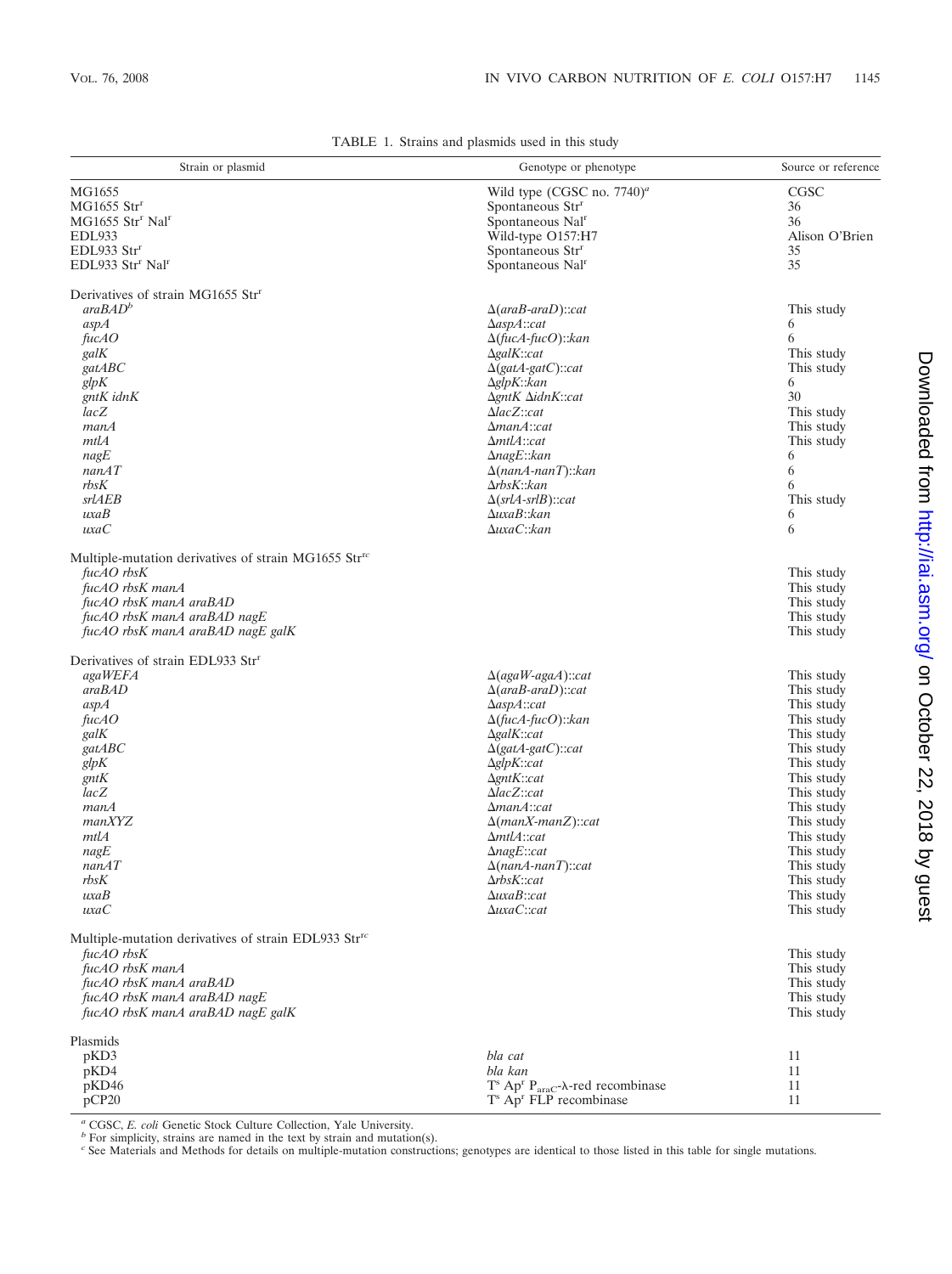| Strain or plasmid                                                | Genotype or phenotype                                                | Source or reference |
|------------------------------------------------------------------|----------------------------------------------------------------------|---------------------|
| MG1655                                                           | Wild type (CGSC no. $7740)^a$ )                                      | CGSC                |
| $MG1655$ Str <sup>r</sup>                                        | Spontaneous Str <sup>r</sup>                                         | 36                  |
| MG1655 Str <sup>r</sup> Nal <sup>r</sup>                         | Spontaneous Nal <sup>r</sup>                                         | 36                  |
| <b>EDL933</b>                                                    | Wild-type O157:H7                                                    | Alison O'Brien      |
| EDL933 Str <sup>r</sup>                                          | Spontaneous Str <sup>r</sup>                                         | 35                  |
| EDL933 Str <sup>r</sup> Nal <sup>r</sup>                         | Spontaneous Nal <sup>r</sup>                                         | 35                  |
| Derivatives of strain MG1655 Str <sup>r</sup>                    |                                                                      |                     |
| araBAD <sup>b</sup>                                              | $\Delta(araB-araD)$ ::cat                                            | This study          |
| aspA                                                             | $\Delta$ asp $A$ ::cat                                               | 6                   |
| fucAO                                                            | $\Delta$ (fucA-fucO):: kan                                           | 6                   |
| galK                                                             | $\Delta galK::cat$                                                   | This study          |
| gatABC                                                           | $\Delta$ (gatA-gatC)::cat                                            | This study          |
| glpK                                                             | $\Delta$ glpK:: $kan$                                                | 6                   |
| gntK idnK                                                        | $\Delta g$ nt $K \Delta$ idn $K$ ::cat                               | 30                  |
| lacZ                                                             | $\Delta$ lacZ::cat                                                   | This study          |
| manA                                                             | $\Delta$ man $A$ ::cat                                               | This study          |
| mtlA                                                             | $\Delta$ mtl $A$ ::cat                                               | This study          |
| nagE                                                             | $\Delta$ nagE:: $kan$                                                | 6                   |
| nanAT                                                            | $\Delta$ (nanA-nanT):: kan                                           | 6                   |
| rbsK                                                             | $\Delta r$ <i>bsK</i> :: $kan$                                       | 6                   |
| srlAEB                                                           | $\Delta(srlA-srlB::cat$                                              | This study          |
| uxaB                                                             | $\Delta u$ xa $B$ ::kan                                              | 6                   |
| uxaC                                                             | $\Delta u$ xa $C$ ::kan                                              | 6                   |
| Multiple-mutation derivatives of strain MG1655 Str <sup>rc</sup> |                                                                      |                     |
| $fucAO$ rbs $K$                                                  |                                                                      | This study          |
| fucAO rbsK manA                                                  |                                                                      | This study          |
| fucAO rbsK manA araBAD                                           |                                                                      | This study          |
| fucAO rbsK manA araBAD nagE                                      |                                                                      | This study          |
| fucAO rbsK manA araBAD nagE galK                                 |                                                                      | This study          |
| Derivatives of strain EDL933 Str <sup>r</sup>                    |                                                                      |                     |
| agaWEFA                                                          | $\Delta$ (agaW-agaA)::cat                                            | This study          |
| araBAD                                                           | $\Delta(araB-araD)$ ::cat                                            | This study          |
| aspA                                                             | $\Delta$ asp $A$ ::cat                                               | This study          |
| fucAO                                                            | $\Delta$ (fucA-fucO):: $kan$                                         | This study          |
| galK                                                             | $\Delta galK::cat$                                                   | This study          |
| gatABC                                                           | $\Delta$ (gatA-gatC)::cat                                            | This study          |
| $\ensuremath{\text{gl}}\xspace pK$                               | $\Delta$ glpK::cat                                                   | This study          |
| gntK                                                             | $\Delta g$ ntK::cat                                                  | This study          |
| lacZ                                                             | $\Delta lacZ::cat$                                                   | This study          |
| manA                                                             | $\Delta$ man $A$ ::cat                                               | This study          |
| manXYZ                                                           | $\Delta$ (manX-manZ)::cat                                            | This study          |
| mtlA                                                             | $\Delta$ mtl $A$ ::cat                                               | This study          |
| nagE                                                             | $\Delta$ nagE::cat                                                   | This study          |
| nanAT                                                            | $\Delta$ (nanA-nanT)::cat                                            | This study          |
| rbsK                                                             | ∆rbsK∷cat                                                            | This study          |
| uxaB                                                             | $\Delta uxaB::cat$                                                   | This study          |
| uxaC                                                             | $\Delta u$ xa $C$ ::cat                                              | This study          |
| Multiple-mutation derivatives of strain EDL933 Str <sup>rc</sup> |                                                                      |                     |
| $fucAO$ rbs $K$                                                  |                                                                      | This study          |
| fucAO rbsK manA                                                  |                                                                      | This study          |
| fucAO rbsK manA araBAD                                           |                                                                      | This study          |
| fucAO rbsK manA araBAD nagE                                      |                                                                      | This study          |
| fucAO rbsK manA araBAD nagE galK                                 |                                                                      | This study          |
| Plasmids                                                         |                                                                      |                     |
| pKD3                                                             | bla cat                                                              | 11                  |
| pKD4                                                             | bla kan                                                              | 11                  |
| pKD46                                                            | $T^s$ Ap <sup>r</sup> P <sub>araC</sub> - $\lambda$ -red recombinase | 11                  |
| pCP20                                                            | T <sup>s</sup> Ap <sup>r</sup> FLP recombinase                       | 11                  |

TABLE 1. Strains and plasmids used in this study

*<sup>a</sup>* CGSC, *E. coli* Genetic Stock Culture Collection, Yale University. *<sup>b</sup>* For simplicity, strains are named in the text by strain and mutation(s).

*<sup>c</sup>* See Materials and Methods for details on multiple-mutation constructions; genotypes are identical to those listed in this table for single mutations.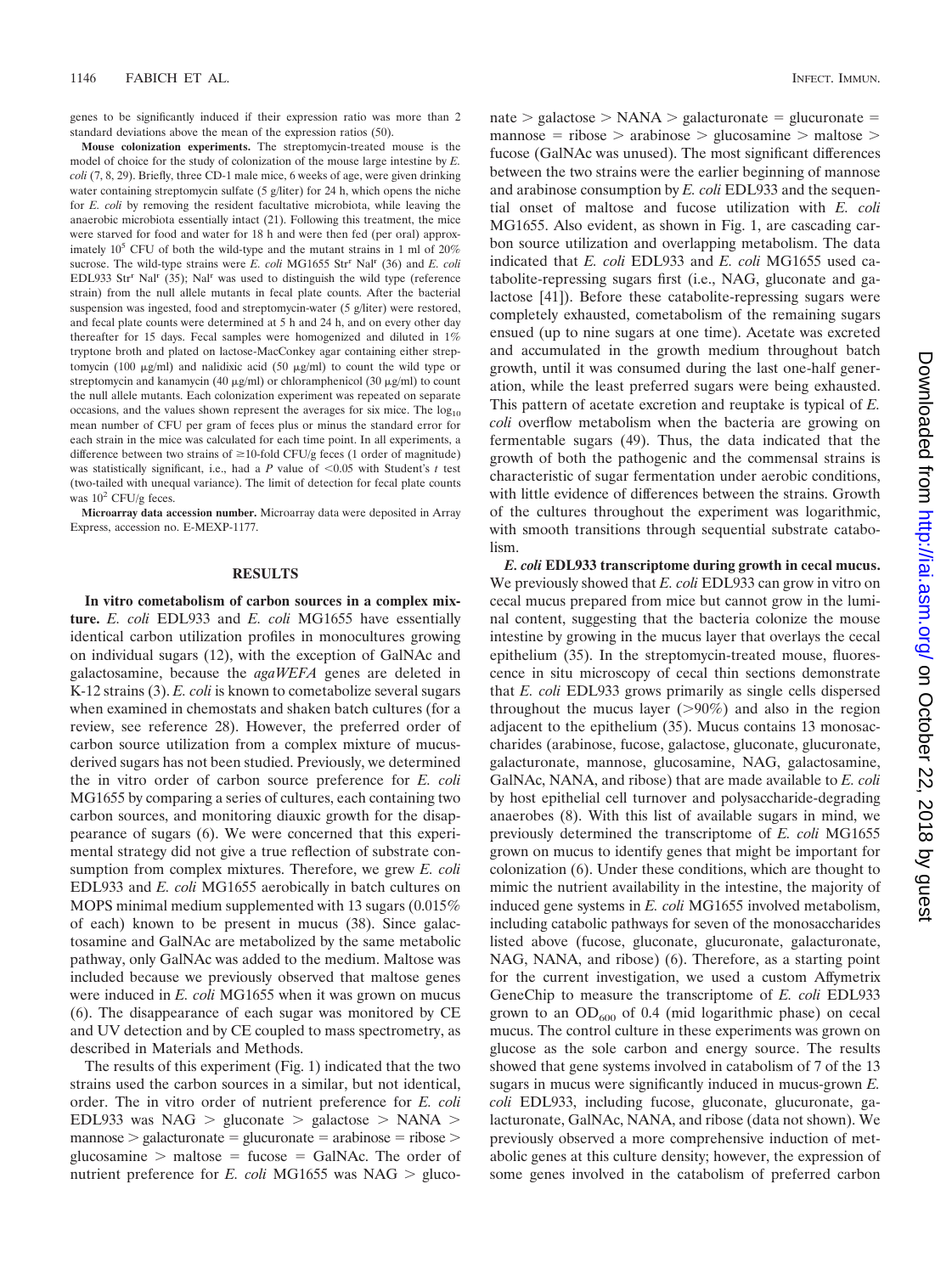genes to be significantly induced if their expression ratio was more than 2 standard deviations above the mean of the expression ratios (50).

**Mouse colonization experiments.** The streptomycin-treated mouse is the model of choice for the study of colonization of the mouse large intestine by *E. coli* (7, 8, 29). Briefly, three CD-1 male mice, 6 weeks of age, were given drinking water containing streptomycin sulfate (5 g/liter) for 24 h, which opens the niche for *E. coli* by removing the resident facultative microbiota, while leaving the anaerobic microbiota essentially intact (21). Following this treatment, the mice were starved for food and water for 18 h and were then fed (per oral) approximately  $10^5$  CFU of both the wild-type and the mutant strains in 1 ml of  $20\%$ sucrose. The wild-type strains were *E. coli* MG1655 Str<sup>r</sup> Nal<sup>r</sup> (36) and *E. coli* EDL933 Str<sup>r</sup> Nal<sup>r</sup> (35); Nal<sup>r</sup> was used to distinguish the wild type (reference strain) from the null allele mutants in fecal plate counts. After the bacterial suspension was ingested, food and streptomycin-water (5 g/liter) were restored, and fecal plate counts were determined at 5 h and 24 h, and on every other day thereafter for 15 days. Fecal samples were homogenized and diluted in 1% tryptone broth and plated on lactose-MacConkey agar containing either streptomycin (100  $\mu$ g/ml) and nalidixic acid (50  $\mu$ g/ml) to count the wild type or streptomycin and kanamycin (40  $\mu$ g/ml) or chloramphenicol (30  $\mu$ g/ml) to count the null allele mutants. Each colonization experiment was repeated on separate occasions, and the values shown represent the averages for six mice. The  $log_{10}$ mean number of CFU per gram of feces plus or minus the standard error for each strain in the mice was calculated for each time point. In all experiments, a difference between two strains of  $\geq$ 10-fold CFU/g feces (1 order of magnitude) was statistically significant, i.e., had a *P* value of  $\leq 0.05$  with Student's *t* test (two-tailed with unequal variance). The limit of detection for fecal plate counts was  $10^2$  CFU/g feces.

**Microarray data accession number.** Microarray data were deposited in Array Express, accession no. E-MEXP-1177.

#### **RESULTS**

**In vitro cometabolism of carbon sources in a complex mixture.** *E. coli* EDL933 and *E. coli* MG1655 have essentially identical carbon utilization profiles in monocultures growing on individual sugars (12), with the exception of GalNAc and galactosamine, because the *agaWEFA* genes are deleted in K-12 strains (3). *E. coli* is known to cometabolize several sugars when examined in chemostats and shaken batch cultures (for a review, see reference 28). However, the preferred order of carbon source utilization from a complex mixture of mucusderived sugars has not been studied. Previously, we determined the in vitro order of carbon source preference for *E. coli* MG1655 by comparing a series of cultures, each containing two carbon sources, and monitoring diauxic growth for the disappearance of sugars (6). We were concerned that this experimental strategy did not give a true reflection of substrate consumption from complex mixtures. Therefore, we grew *E. coli* EDL933 and *E. coli* MG1655 aerobically in batch cultures on MOPS minimal medium supplemented with 13 sugars (0.015% of each) known to be present in mucus (38). Since galactosamine and GalNAc are metabolized by the same metabolic pathway, only GalNAc was added to the medium. Maltose was included because we previously observed that maltose genes were induced in *E. coli* MG1655 when it was grown on mucus (6). The disappearance of each sugar was monitored by CE and UV detection and by CE coupled to mass spectrometry, as described in Materials and Methods.

The results of this experiment (Fig. 1) indicated that the two strains used the carbon sources in a similar, but not identical, order. The in vitro order of nutrient preference for *E. coli* EDL933 was NAG  $>$  gluconate  $>$  galactose  $>$  NANA  $>$  $m$ annose  $>$  galacturonate  $=$  glucuronate  $=$  arabinose  $=$  ribose  $>$ glucosamine  $>$  maltose = fucose = GalNAc. The order of nutrient preference for *E. coli* MG1655 was NAG  $>$  gluco $nate > galactose > NANA > galacturonate = glucuronate =$  $m$ annose = ribose > arabinose > glucosamine > maltose > fucose (GalNAc was unused). The most significant differences between the two strains were the earlier beginning of mannose and arabinose consumption by *E. coli* EDL933 and the sequential onset of maltose and fucose utilization with *E. coli* MG1655. Also evident, as shown in Fig. 1, are cascading carbon source utilization and overlapping metabolism. The data indicated that *E. coli* EDL933 and *E. coli* MG1655 used catabolite-repressing sugars first (i.e., NAG, gluconate and galactose [41]). Before these catabolite-repressing sugars were completely exhausted, cometabolism of the remaining sugars ensued (up to nine sugars at one time). Acetate was excreted and accumulated in the growth medium throughout batch growth, until it was consumed during the last one-half generation, while the least preferred sugars were being exhausted. This pattern of acetate excretion and reuptake is typical of *E. coli* overflow metabolism when the bacteria are growing on fermentable sugars (49). Thus, the data indicated that the growth of both the pathogenic and the commensal strains is characteristic of sugar fermentation under aerobic conditions, with little evidence of differences between the strains. Growth of the cultures throughout the experiment was logarithmic, with smooth transitions through sequential substrate catabolism.

*E. coli* **EDL933 transcriptome during growth in cecal mucus.** We previously showed that *E. coli* EDL933 can grow in vitro on cecal mucus prepared from mice but cannot grow in the luminal content, suggesting that the bacteria colonize the mouse intestine by growing in the mucus layer that overlays the cecal epithelium (35). In the streptomycin-treated mouse, fluorescence in situ microscopy of cecal thin sections demonstrate that *E. coli* EDL933 grows primarily as single cells dispersed throughout the mucus layer  $(>90\%)$  and also in the region adjacent to the epithelium (35). Mucus contains 13 monosaccharides (arabinose, fucose, galactose, gluconate, glucuronate, galacturonate, mannose, glucosamine, NAG, galactosamine, GalNAc, NANA, and ribose) that are made available to *E. coli* by host epithelial cell turnover and polysaccharide-degrading anaerobes (8). With this list of available sugars in mind, we previously determined the transcriptome of *E. coli* MG1655 grown on mucus to identify genes that might be important for colonization (6). Under these conditions, which are thought to mimic the nutrient availability in the intestine, the majority of induced gene systems in *E. coli* MG1655 involved metabolism, including catabolic pathways for seven of the monosaccharides listed above (fucose, gluconate, glucuronate, galacturonate, NAG, NANA, and ribose) (6). Therefore, as a starting point for the current investigation, we used a custom Affymetrix GeneChip to measure the transcriptome of *E. coli* EDL933 grown to an  $OD_{600}$  of 0.4 (mid logarithmic phase) on cecal mucus. The control culture in these experiments was grown on glucose as the sole carbon and energy source. The results showed that gene systems involved in catabolism of 7 of the 13 sugars in mucus were significantly induced in mucus-grown *E. coli* EDL933, including fucose, gluconate, glucuronate, galacturonate, GalNAc, NANA, and ribose (data not shown). We previously observed a more comprehensive induction of metabolic genes at this culture density; however, the expression of some genes involved in the catabolism of preferred carbon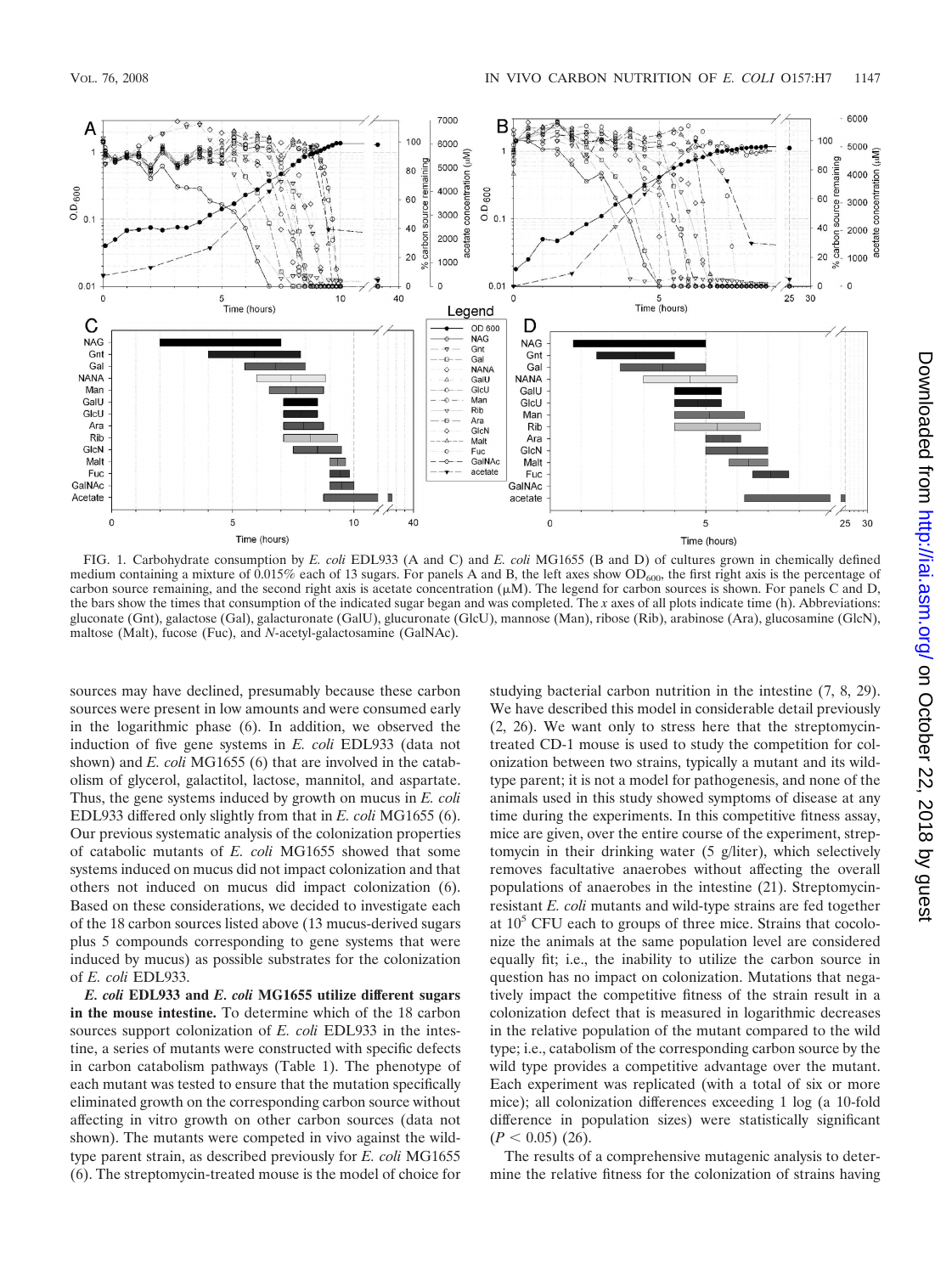

FIG. 1. Carbohydrate consumption by *E. coli* EDL933 (A and C) and *E. coli* MG1655 (B and D) of cultures grown in chemically defined medium containing a mixture of  $0.015\%$  each of 13 sugars. For panels A and B, the left axes show  $OD_{600}$ , the first right axis is the percentage of carbon source remaining, and the second right axis is acetate concentration  $(\mu M)$ . The legend for carbon sources is shown. For panels C and D, the bars show the times that consumption of the indicated sugar began and was completed. The *x* axes of all plots indicate time (h). Abbreviations: gluconate (Gnt), galactose (Gal), galacturonate (GalU), glucuronate (GlcU), mannose (Man), ribose (Rib), arabinose (Ara), glucosamine (GlcN), maltose (Malt), fucose (Fuc), and *N*-acetyl-galactosamine (GalNAc).

sources may have declined, presumably because these carbon sources were present in low amounts and were consumed early in the logarithmic phase (6). In addition, we observed the induction of five gene systems in *E. coli* EDL933 (data not shown) and *E. coli* MG1655 (6) that are involved in the catabolism of glycerol, galactitol, lactose, mannitol, and aspartate. Thus, the gene systems induced by growth on mucus in *E. coli* EDL933 differed only slightly from that in *E. coli* MG1655 (6). Our previous systematic analysis of the colonization properties of catabolic mutants of *E. coli* MG1655 showed that some systems induced on mucus did not impact colonization and that others not induced on mucus did impact colonization (6). Based on these considerations, we decided to investigate each of the 18 carbon sources listed above (13 mucus-derived sugars plus 5 compounds corresponding to gene systems that were induced by mucus) as possible substrates for the colonization of *E. coli* EDL933.

*E. coli* **EDL933 and** *E. coli* **MG1655 utilize different sugars in the mouse intestine.** To determine which of the 18 carbon sources support colonization of *E. coli* EDL933 in the intestine, a series of mutants were constructed with specific defects in carbon catabolism pathways (Table 1). The phenotype of each mutant was tested to ensure that the mutation specifically eliminated growth on the corresponding carbon source without affecting in vitro growth on other carbon sources (data not shown). The mutants were competed in vivo against the wildtype parent strain, as described previously for *E. coli* MG1655 (6). The streptomycin-treated mouse is the model of choice for

studying bacterial carbon nutrition in the intestine (7, 8, 29). We have described this model in considerable detail previously (2, 26). We want only to stress here that the streptomycintreated CD-1 mouse is used to study the competition for colonization between two strains, typically a mutant and its wildtype parent; it is not a model for pathogenesis, and none of the animals used in this study showed symptoms of disease at any time during the experiments. In this competitive fitness assay, mice are given, over the entire course of the experiment, streptomycin in their drinking water (5 g/liter), which selectively removes facultative anaerobes without affecting the overall populations of anaerobes in the intestine (21). Streptomycinresistant *E. coli* mutants and wild-type strains are fed together at  $10<sup>5</sup>$  CFU each to groups of three mice. Strains that cocolonize the animals at the same population level are considered equally fit; i.e., the inability to utilize the carbon source in question has no impact on colonization. Mutations that negatively impact the competitive fitness of the strain result in a colonization defect that is measured in logarithmic decreases in the relative population of the mutant compared to the wild type; i.e., catabolism of the corresponding carbon source by the wild type provides a competitive advantage over the mutant. Each experiment was replicated (with a total of six or more mice); all colonization differences exceeding 1 log (a 10-fold difference in population sizes) were statistically significant  $(P < 0.05)$  (26).

The results of a comprehensive mutagenic analysis to determine the relative fitness for the colonization of strains having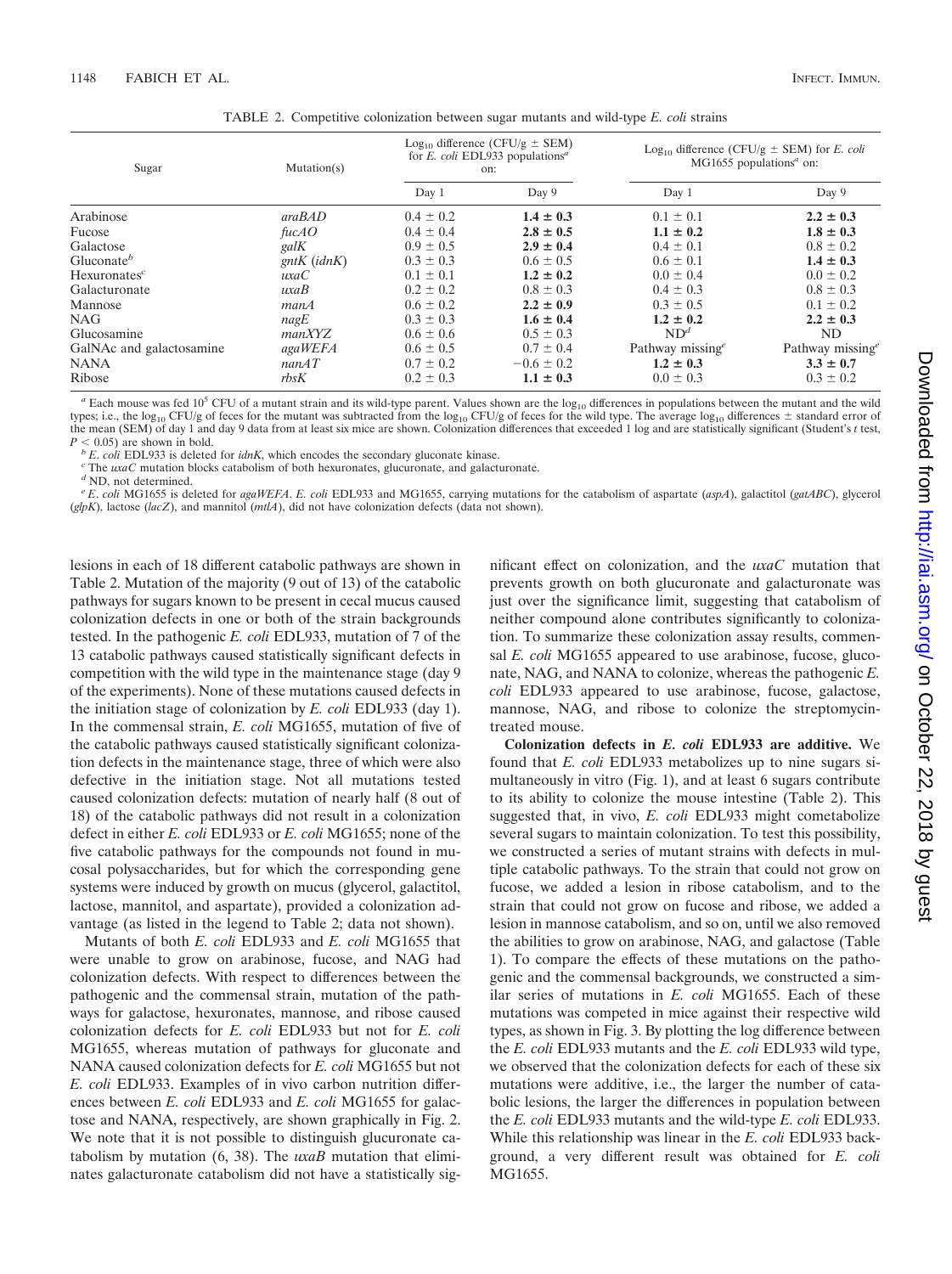| Sugar                    | Mutation(s)   | $Log_{10}$ difference (CFU/g $\pm$ SEM)<br>for E. coli EDL933 populations <sup>a</sup><br>on: |                | Log <sub>10</sub> difference (CFU/g $\pm$ SEM) for <i>E. coli</i><br>$MG1655$ populations <sup><i>a</i></sup> on: |                     |
|--------------------------|---------------|-----------------------------------------------------------------------------------------------|----------------|-------------------------------------------------------------------------------------------------------------------|---------------------|
|                          |               | Day 1                                                                                         | Day 9          | Day 1                                                                                                             | Day 9               |
| Arabinose                | araBAD        | $0.4 \pm 0.2$                                                                                 | $1.4 \pm 0.3$  | $0.1 \pm 0.1$                                                                                                     | $2.2 \pm 0.3$       |
| Fucose                   | fucAO         | $0.4 \pm 0.4$                                                                                 | $2.8 \pm 0.5$  | $1.1 \pm 0.2$                                                                                                     | $1.8 \pm 0.3$       |
| Galactose                | galK          | $0.9 \pm 0.5$                                                                                 | $2.9 \pm 0.4$  | $0.4 \pm 0.1$                                                                                                     | $0.8 \pm 0.2$       |
| Gluconate <sup>b</sup>   | $gntK$ (idnK) | $0.3 \pm 0.3$                                                                                 | $0.6 \pm 0.5$  | $0.6 \pm 0.1$                                                                                                     | $1.4 \pm 0.3$       |
| $Hexuronates^c$          | uxaC          | $0.1 \pm 0.1$                                                                                 | $1.2 \pm 0.2$  | $0.0 \pm 0.4$                                                                                                     | $0.0 \pm 0.2$       |
| Galacturonate            | uxaB          | $0.2 \pm 0.2$                                                                                 | $0.8 \pm 0.3$  | $0.4 \pm 0.3$                                                                                                     | $0.8 \pm 0.3$       |
| Mannose                  | manA          | $0.6 \pm 0.2$                                                                                 | $2.2 \pm 0.9$  | $0.3 \pm 0.5$                                                                                                     | $0.1 \pm 0.2$       |
| <b>NAG</b>               | nagE          | $0.3 \pm 0.3$                                                                                 | $1.6 \pm 0.4$  | $1.2 \pm 0.2$                                                                                                     | $2.2 \pm 0.3$       |
| Glucosamine              | manXYZ        | $0.6 \pm 0.6$                                                                                 | $0.5 \pm 0.3$  | ND <sup>d</sup>                                                                                                   | ND.                 |
| GalNAc and galactosamine | agaWEFA       | $0.6 \pm 0.5$                                                                                 | $0.7 \pm 0.4$  | Pathway missing <sup>e</sup>                                                                                      | Pathway missing $e$ |
| <b>NANA</b>              | nanAT         | $0.7 \pm 0.2$                                                                                 | $-0.6 \pm 0.2$ | $1.2 \pm 0.3$                                                                                                     | $3.3 \pm 0.7$       |
| Ribose                   | rbsK          | $0.2 \pm 0.3$                                                                                 | $1.1 \pm 0.3$  | $0.0 \pm 0.3$                                                                                                     | $0.3 \pm 0.2$       |

TABLE 2. Competitive colonization between sugar mutants and wild-type *E. coli* strains

 $a$  Each mouse was fed 10<sup>5</sup> CFU of a mutant strain and its wild-type parent. Values shown are the log<sub>10</sub> differences in populations between the mutant and the wild types; i.e., the log<sub>10</sub> CFU/g of feces for the mutant was subtracted from the log<sub>10</sub> CFU/g of feces for the wild type. The average log<sub>10</sub> differences  $\pm$  standard error of the mean (SEM) of day 1 and day 9 data from at least six mice are shown. Colonization differences that exceeded 1 log and are statistically significant (Student's *t* test,  $P < 0.05$ ) are shown in bold.

 $^b$  E. coli EDL933 is deleted for *idnK*, which encodes the secondary gluconate kinase. <sup>c</sup> The *uxaC* mutation blocks catabolism of both hexuronates, glucuronate, and galacturonate. <sup>*d*</sup> ND. not determined.

*<sup>e</sup> E*. *coli* MG1655 is deleted for *agaWEFA*. *E. coli* EDL933 and MG1655, carrying mutations for the catabolism of aspartate (*aspA*), galactitol (*gatABC*), glycerol (*glpK*), lactose (*lacZ*), and mannitol (*mtlA*), did not have colonization defects (data not shown).

lesions in each of 18 different catabolic pathways are shown in Table 2. Mutation of the majority (9 out of 13) of the catabolic pathways for sugars known to be present in cecal mucus caused colonization defects in one or both of the strain backgrounds tested. In the pathogenic *E. coli* EDL933, mutation of 7 of the 13 catabolic pathways caused statistically significant defects in competition with the wild type in the maintenance stage (day 9 of the experiments). None of these mutations caused defects in the initiation stage of colonization by *E. coli* EDL933 (day 1). In the commensal strain, *E. coli* MG1655, mutation of five of the catabolic pathways caused statistically significant colonization defects in the maintenance stage, three of which were also defective in the initiation stage. Not all mutations tested caused colonization defects: mutation of nearly half (8 out of 18) of the catabolic pathways did not result in a colonization defect in either *E. coli* EDL933 or *E. coli* MG1655; none of the five catabolic pathways for the compounds not found in mucosal polysaccharides, but for which the corresponding gene systems were induced by growth on mucus (glycerol, galactitol, lactose, mannitol, and aspartate), provided a colonization advantage (as listed in the legend to Table 2; data not shown).

Mutants of both *E. coli* EDL933 and *E. coli* MG1655 that were unable to grow on arabinose, fucose, and NAG had colonization defects. With respect to differences between the pathogenic and the commensal strain, mutation of the pathways for galactose, hexuronates, mannose, and ribose caused colonization defects for *E. coli* EDL933 but not for *E. coli* MG1655, whereas mutation of pathways for gluconate and NANA caused colonization defects for *E. coli* MG1655 but not *E. coli* EDL933. Examples of in vivo carbon nutrition differences between *E. coli* EDL933 and *E. coli* MG1655 for galactose and NANA, respectively, are shown graphically in Fig. 2. We note that it is not possible to distinguish glucuronate catabolism by mutation (6, 38). The *uxaB* mutation that eliminates galacturonate catabolism did not have a statistically significant effect on colonization, and the *uxaC* mutation that prevents growth on both glucuronate and galacturonate was just over the significance limit, suggesting that catabolism of neither compound alone contributes significantly to colonization. To summarize these colonization assay results, commensal *E. coli* MG1655 appeared to use arabinose, fucose, gluconate, NAG, and NANA to colonize, whereas the pathogenic *E. coli* EDL933 appeared to use arabinose, fucose, galactose, mannose, NAG, and ribose to colonize the streptomycintreated mouse.

**Colonization defects in** *E. coli* **EDL933 are additive.** We found that *E. coli* EDL933 metabolizes up to nine sugars simultaneously in vitro (Fig. 1), and at least 6 sugars contribute to its ability to colonize the mouse intestine (Table 2). This suggested that, in vivo, *E. coli* EDL933 might cometabolize several sugars to maintain colonization. To test this possibility, we constructed a series of mutant strains with defects in multiple catabolic pathways. To the strain that could not grow on fucose, we added a lesion in ribose catabolism, and to the strain that could not grow on fucose and ribose, we added a lesion in mannose catabolism, and so on, until we also removed the abilities to grow on arabinose, NAG, and galactose (Table 1). To compare the effects of these mutations on the pathogenic and the commensal backgrounds, we constructed a similar series of mutations in *E. coli* MG1655. Each of these mutations was competed in mice against their respective wild types, as shown in Fig. 3. By plotting the log difference between the *E. coli* EDL933 mutants and the *E. coli* EDL933 wild type, we observed that the colonization defects for each of these six mutations were additive, i.e., the larger the number of catabolic lesions, the larger the differences in population between the *E. coli* EDL933 mutants and the wild-type *E. coli* EDL933. While this relationship was linear in the *E. coli* EDL933 background, a very different result was obtained for *E. coli* MG1655.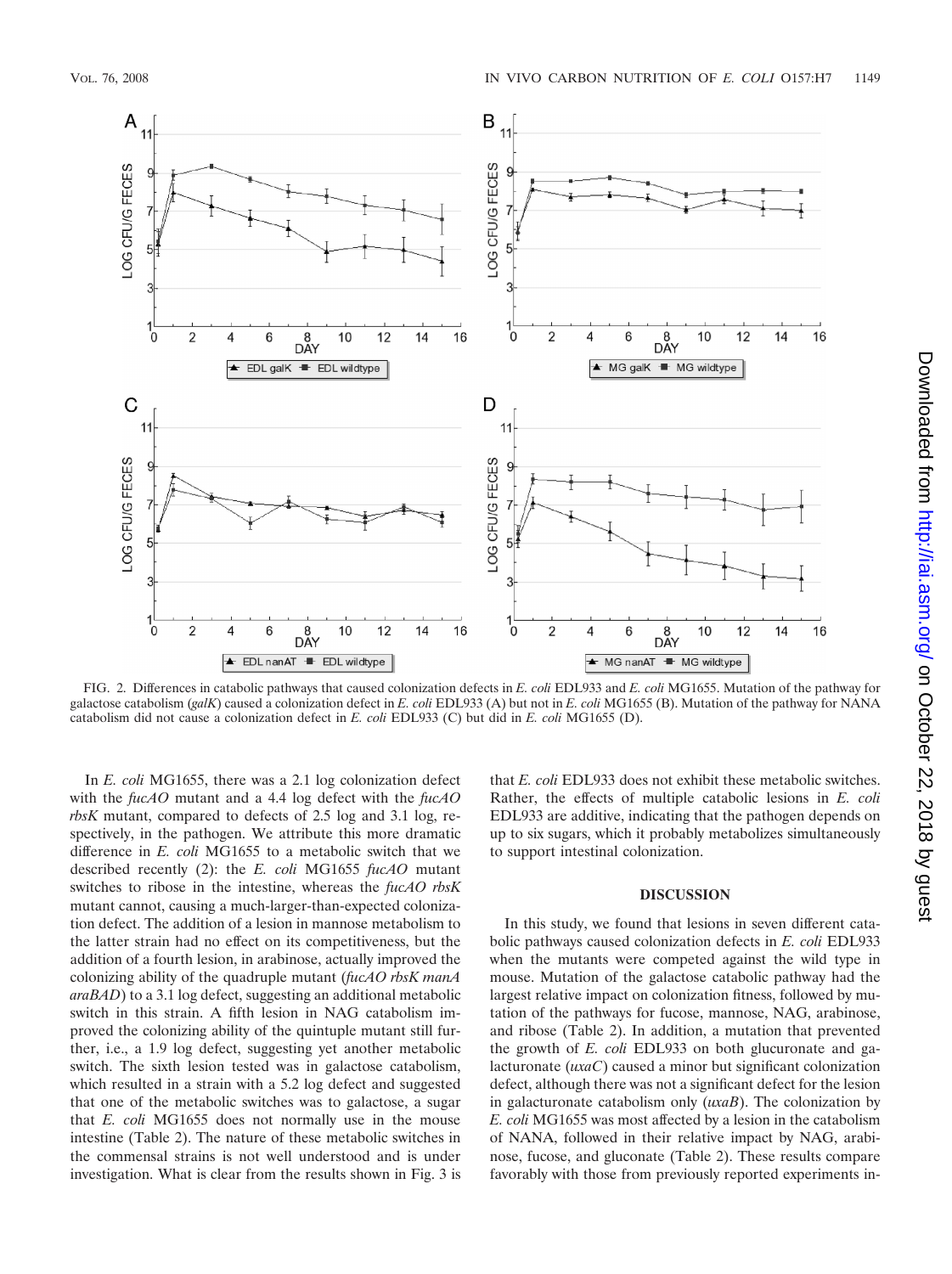

FIG. 2. Differences in catabolic pathways that caused colonization defects in *E. coli* EDL933 and *E. coli* MG1655. Mutation of the pathway for galactose catabolism (*galK*) caused a colonization defect in *E. coli* EDL933 (A) but not in *E. coli* MG1655 (B). Mutation of the pathway for NANA catabolism did not cause a colonization defect in *E. coli* EDL933 (C) but did in *E. coli* MG1655 (D).

In *E. coli* MG1655, there was a 2.1 log colonization defect with the *fucAO* mutant and a 4.4 log defect with the *fucAO rbsK* mutant, compared to defects of 2.5 log and 3.1 log, respectively, in the pathogen. We attribute this more dramatic difference in *E. coli* MG1655 to a metabolic switch that we described recently (2): the *E. coli* MG1655 *fucAO* mutant switches to ribose in the intestine, whereas the *fucAO rbsK* mutant cannot, causing a much-larger-than-expected colonization defect. The addition of a lesion in mannose metabolism to the latter strain had no effect on its competitiveness, but the addition of a fourth lesion, in arabinose, actually improved the colonizing ability of the quadruple mutant (*fucAO rbsK manA araBAD*) to a 3.1 log defect, suggesting an additional metabolic switch in this strain. A fifth lesion in NAG catabolism improved the colonizing ability of the quintuple mutant still further, i.e., a 1.9 log defect, suggesting yet another metabolic switch. The sixth lesion tested was in galactose catabolism, which resulted in a strain with a 5.2 log defect and suggested that one of the metabolic switches was to galactose, a sugar that *E. coli* MG1655 does not normally use in the mouse intestine (Table 2). The nature of these metabolic switches in the commensal strains is not well understood and is under investigation. What is clear from the results shown in Fig. 3 is that *E. coli* EDL933 does not exhibit these metabolic switches. Rather, the effects of multiple catabolic lesions in *E. coli* EDL933 are additive, indicating that the pathogen depends on up to six sugars, which it probably metabolizes simultaneously to support intestinal colonization.

#### **DISCUSSION**

In this study, we found that lesions in seven different catabolic pathways caused colonization defects in *E. coli* EDL933 when the mutants were competed against the wild type in mouse. Mutation of the galactose catabolic pathway had the largest relative impact on colonization fitness, followed by mutation of the pathways for fucose, mannose, NAG, arabinose, and ribose (Table 2). In addition, a mutation that prevented the growth of *E. coli* EDL933 on both glucuronate and galacturonate (*uxaC*) caused a minor but significant colonization defect, although there was not a significant defect for the lesion in galacturonate catabolism only (*uxaB*). The colonization by *E. coli* MG1655 was most affected by a lesion in the catabolism of NANA, followed in their relative impact by NAG, arabinose, fucose, and gluconate (Table 2). These results compare favorably with those from previously reported experiments in-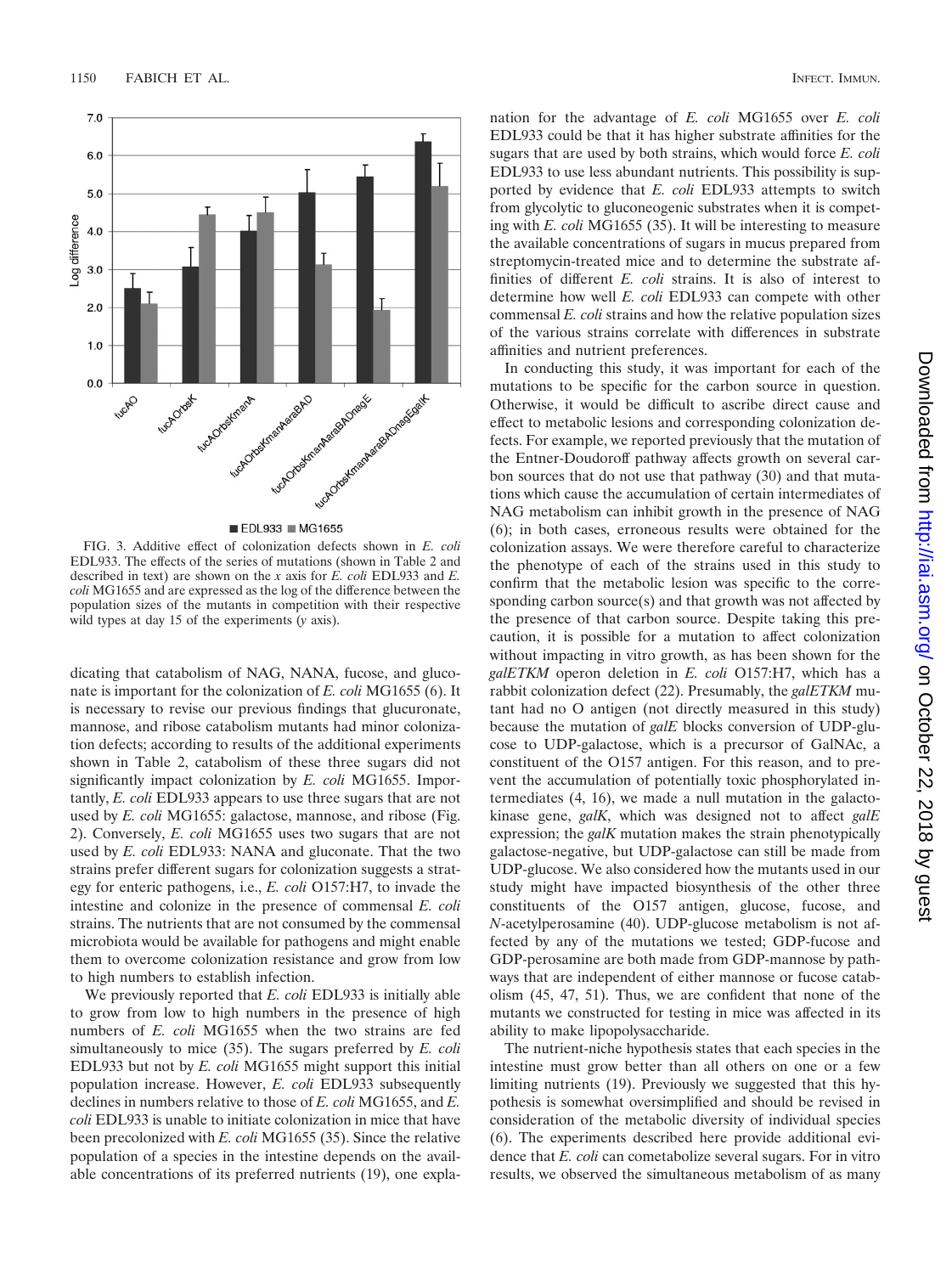

■ EDL933 ■ MG1655

FIG. 3. Additive effect of colonization defects shown in *E. coli* EDL933. The effects of the series of mutations (shown in Table 2 and described in text) are shown on the *x* axis for *E. coli* EDL933 and *E. coli* MG1655 and are expressed as the log of the difference between the population sizes of the mutants in competition with their respective wild types at day 15 of the experiments (*y* axis).

dicating that catabolism of NAG, NANA, fucose, and gluconate is important for the colonization of *E. coli* MG1655 (6). It is necessary to revise our previous findings that glucuronate, mannose, and ribose catabolism mutants had minor colonization defects; according to results of the additional experiments shown in Table 2, catabolism of these three sugars did not significantly impact colonization by *E. coli* MG1655. Importantly, *E. coli* EDL933 appears to use three sugars that are not used by *E. coli* MG1655: galactose, mannose, and ribose (Fig. 2). Conversely, *E. coli* MG1655 uses two sugars that are not used by *E. coli* EDL933: NANA and gluconate. That the two strains prefer different sugars for colonization suggests a strategy for enteric pathogens, i.e., *E. coli* O157:H7, to invade the intestine and colonize in the presence of commensal *E. coli* strains. The nutrients that are not consumed by the commensal microbiota would be available for pathogens and might enable them to overcome colonization resistance and grow from low to high numbers to establish infection.

We previously reported that *E. coli* EDL933 is initially able to grow from low to high numbers in the presence of high numbers of *E. coli* MG1655 when the two strains are fed simultaneously to mice (35). The sugars preferred by *E. coli* EDL933 but not by *E. coli* MG1655 might support this initial population increase. However, *E. coli* EDL933 subsequently declines in numbers relative to those of *E. coli* MG1655, and *E. coli* EDL933 is unable to initiate colonization in mice that have been precolonized with *E. coli* MG1655 (35). Since the relative population of a species in the intestine depends on the available concentrations of its preferred nutrients (19), one explanation for the advantage of *E. coli* MG1655 over *E. coli* EDL933 could be that it has higher substrate affinities for the sugars that are used by both strains, which would force *E. coli* EDL933 to use less abundant nutrients. This possibility is supported by evidence that *E. coli* EDL933 attempts to switch from glycolytic to gluconeogenic substrates when it is competing with *E. coli* MG1655 (35). It will be interesting to measure the available concentrations of sugars in mucus prepared from streptomycin-treated mice and to determine the substrate affinities of different *E. coli* strains. It is also of interest to determine how well *E. coli* EDL933 can compete with other commensal *E. coli* strains and how the relative population sizes of the various strains correlate with differences in substrate affinities and nutrient preferences.

In conducting this study, it was important for each of the mutations to be specific for the carbon source in question. Otherwise, it would be difficult to ascribe direct cause and effect to metabolic lesions and corresponding colonization defects. For example, we reported previously that the mutation of the Entner-Doudoroff pathway affects growth on several carbon sources that do not use that pathway (30) and that mutations which cause the accumulation of certain intermediates of NAG metabolism can inhibit growth in the presence of NAG (6); in both cases, erroneous results were obtained for the colonization assays. We were therefore careful to characterize the phenotype of each of the strains used in this study to confirm that the metabolic lesion was specific to the corresponding carbon source(s) and that growth was not affected by the presence of that carbon source. Despite taking this precaution, it is possible for a mutation to affect colonization without impacting in vitro growth, as has been shown for the *galETKM* operon deletion in *E. coli* O157:H7, which has a rabbit colonization defect (22). Presumably, the *galETKM* mutant had no O antigen (not directly measured in this study) because the mutation of *galE* blocks conversion of UDP-glucose to UDP-galactose, which is a precursor of GalNAc, a constituent of the O157 antigen. For this reason, and to prevent the accumulation of potentially toxic phosphorylated intermediates (4, 16), we made a null mutation in the galactokinase gene, *galK*, which was designed not to affect *galE* expression; the *galK* mutation makes the strain phenotypically galactose-negative, but UDP-galactose can still be made from UDP-glucose. We also considered how the mutants used in our study might have impacted biosynthesis of the other three constituents of the O157 antigen, glucose, fucose, and *N*-acetylperosamine (40). UDP-glucose metabolism is not affected by any of the mutations we tested; GDP-fucose and GDP-perosamine are both made from GDP-mannose by pathways that are independent of either mannose or fucose catabolism (45, 47, 51). Thus, we are confident that none of the mutants we constructed for testing in mice was affected in its ability to make lipopolysaccharide.

The nutrient-niche hypothesis states that each species in the intestine must grow better than all others on one or a few limiting nutrients (19). Previously we suggested that this hypothesis is somewhat oversimplified and should be revised in consideration of the metabolic diversity of individual species (6). The experiments described here provide additional evidence that *E. coli* can cometabolize several sugars. For in vitro results, we observed the simultaneous metabolism of as many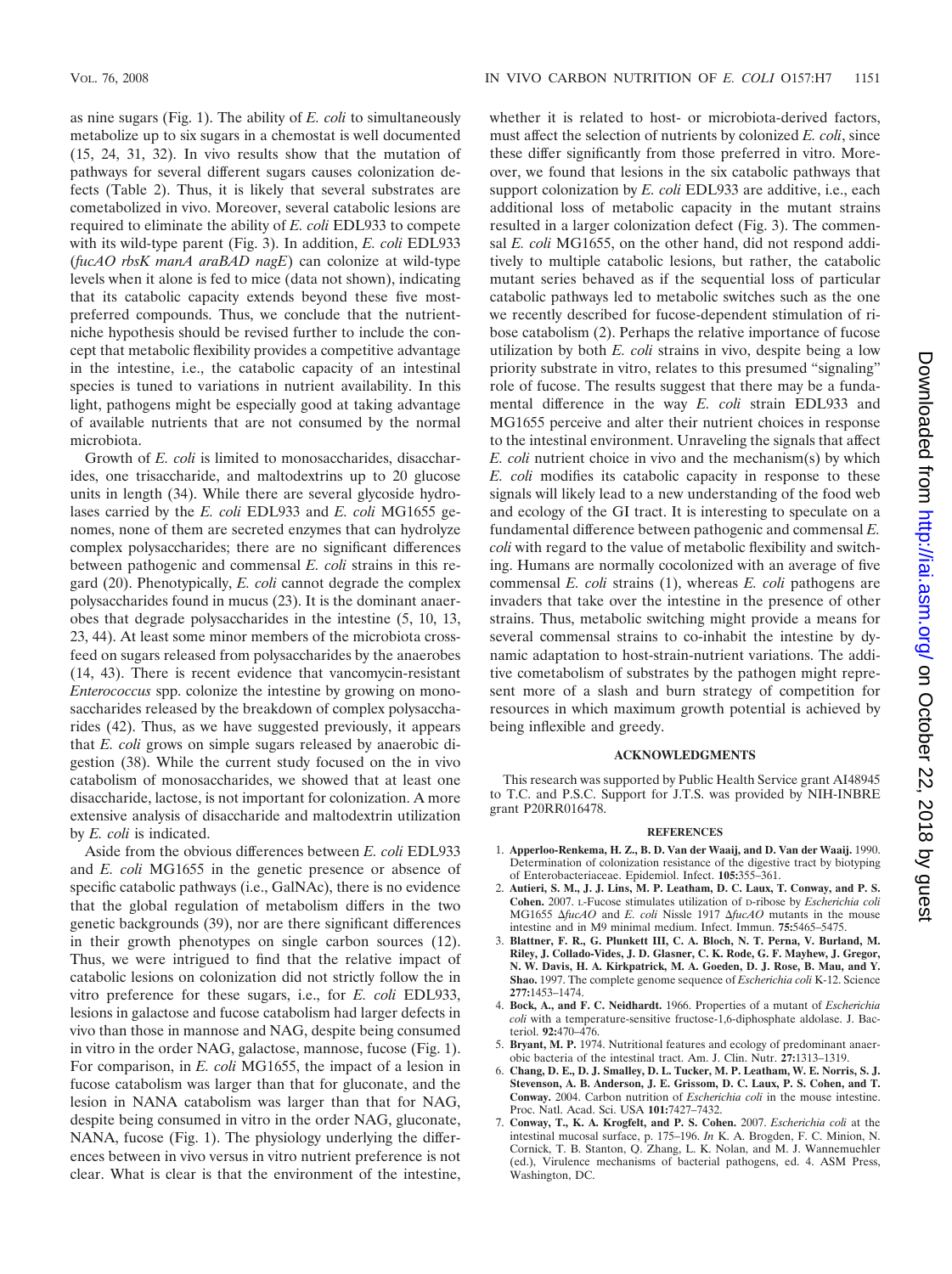as nine sugars (Fig. 1). The ability of *E. coli* to simultaneously metabolize up to six sugars in a chemostat is well documented (15, 24, 31, 32). In vivo results show that the mutation of pathways for several different sugars causes colonization defects (Table 2). Thus, it is likely that several substrates are cometabolized in vivo. Moreover, several catabolic lesions are required to eliminate the ability of *E. coli* EDL933 to compete with its wild-type parent (Fig. 3). In addition, *E. coli* EDL933 (*fucAO rbsK manA araBAD nagE*) can colonize at wild-type levels when it alone is fed to mice (data not shown), indicating that its catabolic capacity extends beyond these five mostpreferred compounds. Thus, we conclude that the nutrientniche hypothesis should be revised further to include the concept that metabolic flexibility provides a competitive advantage in the intestine, i.e., the catabolic capacity of an intestinal species is tuned to variations in nutrient availability. In this light, pathogens might be especially good at taking advantage of available nutrients that are not consumed by the normal microbiota.

Growth of *E. coli* is limited to monosaccharides, disaccharides, one trisaccharide, and maltodextrins up to 20 glucose units in length (34). While there are several glycoside hydrolases carried by the *E. coli* EDL933 and *E. coli* MG1655 genomes, none of them are secreted enzymes that can hydrolyze complex polysaccharides; there are no significant differences between pathogenic and commensal *E. coli* strains in this regard (20). Phenotypically, *E. coli* cannot degrade the complex polysaccharides found in mucus (23). It is the dominant anaerobes that degrade polysaccharides in the intestine (5, 10, 13, 23, 44). At least some minor members of the microbiota crossfeed on sugars released from polysaccharides by the anaerobes (14, 43). There is recent evidence that vancomycin-resistant *Enterococcus* spp. colonize the intestine by growing on monosaccharides released by the breakdown of complex polysaccharides (42). Thus, as we have suggested previously, it appears that *E. coli* grows on simple sugars released by anaerobic digestion (38). While the current study focused on the in vivo catabolism of monosaccharides, we showed that at least one disaccharide, lactose, is not important for colonization. A more extensive analysis of disaccharide and maltodextrin utilization by *E. coli* is indicated.

Aside from the obvious differences between *E. coli* EDL933 and *E. coli* MG1655 in the genetic presence or absence of specific catabolic pathways (i.e., GalNAc), there is no evidence that the global regulation of metabolism differs in the two genetic backgrounds (39), nor are there significant differences in their growth phenotypes on single carbon sources (12). Thus, we were intrigued to find that the relative impact of catabolic lesions on colonization did not strictly follow the in vitro preference for these sugars, i.e., for *E. coli* EDL933, lesions in galactose and fucose catabolism had larger defects in vivo than those in mannose and NAG, despite being consumed in vitro in the order NAG, galactose, mannose, fucose (Fig. 1). For comparison, in *E. coli* MG1655, the impact of a lesion in fucose catabolism was larger than that for gluconate, and the lesion in NANA catabolism was larger than that for NAG, despite being consumed in vitro in the order NAG, gluconate, NANA, fucose (Fig. 1). The physiology underlying the differences between in vivo versus in vitro nutrient preference is not clear. What is clear is that the environment of the intestine,

whether it is related to host- or microbiota-derived factors, must affect the selection of nutrients by colonized *E. coli*, since these differ significantly from those preferred in vitro. Moreover, we found that lesions in the six catabolic pathways that support colonization by *E. coli* EDL933 are additive, i.e., each additional loss of metabolic capacity in the mutant strains resulted in a larger colonization defect (Fig. 3). The commensal *E. coli* MG1655, on the other hand, did not respond additively to multiple catabolic lesions, but rather, the catabolic mutant series behaved as if the sequential loss of particular catabolic pathways led to metabolic switches such as the one we recently described for fucose-dependent stimulation of ribose catabolism (2). Perhaps the relative importance of fucose utilization by both *E. coli* strains in vivo, despite being a low priority substrate in vitro, relates to this presumed "signaling" role of fucose. The results suggest that there may be a fundamental difference in the way *E. coli* strain EDL933 and MG1655 perceive and alter their nutrient choices in response to the intestinal environment. Unraveling the signals that affect *E. coli* nutrient choice in vivo and the mechanism(s) by which *E. coli* modifies its catabolic capacity in response to these signals will likely lead to a new understanding of the food web and ecology of the GI tract. It is interesting to speculate on a fundamental difference between pathogenic and commensal *E. coli* with regard to the value of metabolic flexibility and switching. Humans are normally cocolonized with an average of five commensal *E. coli* strains (1), whereas *E. coli* pathogens are invaders that take over the intestine in the presence of other strains. Thus, metabolic switching might provide a means for several commensal strains to co-inhabit the intestine by dynamic adaptation to host-strain-nutrient variations. The additive cometabolism of substrates by the pathogen might represent more of a slash and burn strategy of competition for resources in which maximum growth potential is achieved by being inflexible and greedy.

#### **ACKNOWLEDGMENTS**

This research was supported by Public Health Service grant AI48945 to T.C. and P.S.C. Support for J.T.S. was provided by NIH-INBRE grant P20RR016478.

#### **REFERENCES**

- 1. **Apperloo-Renkema, H. Z., B. D. Van der Waaij, and D. Van der Waaij.** 1990. Determination of colonization resistance of the digestive tract by biotyping of Enterobacteriaceae. Epidemiol. Infect. **105:**355–361.
- 2. **Autieri, S. M., J. J. Lins, M. P. Leatham, D. C. Laux, T. Conway, and P. S. Cohen.** 2007. L-Fucose stimulates utilization of D-ribose by *Escherichia coli* MG1655  $\Delta$ fucAO and *E. coli* Nissle 1917  $\Delta$ fucAO mutants in the mouse intestine and in M9 minimal medium. Infect. Immun. **75:**5465–5475.
- 3. **Blattner, F. R., G. Plunkett III, C. A. Bloch, N. T. Perna, V. Burland, M. Riley, J. Collado-Vides, J. D. Glasner, C. K. Rode, G. F. Mayhew, J. Gregor, N. W. Davis, H. A. Kirkpatrick, M. A. Goeden, D. J. Rose, B. Mau, and Y. Shao.** 1997. The complete genome sequence of *Escherichia coli* K-12. Science **277:**1453–1474.
- 4. **Bock, A., and F. C. Neidhardt.** 1966. Properties of a mutant of *Escherichia coli* with a temperature-sensitive fructose-1,6-diphosphate aldolase. J. Bacteriol. **92:**470–476.
- 5. **Bryant, M. P.** 1974. Nutritional features and ecology of predominant anaerobic bacteria of the intestinal tract. Am. J. Clin. Nutr. **27:**1313–1319.
- 6. **Chang, D. E., D. J. Smalley, D. L. Tucker, M. P. Leatham, W. E. Norris, S. J. Stevenson, A. B. Anderson, J. E. Grissom, D. C. Laux, P. S. Cohen, and T. Conway.** 2004. Carbon nutrition of *Escherichia coli* in the mouse intestine. Proc. Natl. Acad. Sci. USA **101:**7427–7432.
- 7. **Conway, T., K. A. Krogfelt, and P. S. Cohen.** 2007. *Escherichia coli* at the intestinal mucosal surface, p. 175–196. *In* K. A. Brogden, F. C. Minion, N. Cornick, T. B. Stanton, Q. Zhang, L. K. Nolan, and M. J. Wannemuehler (ed.), Virulence mechanisms of bacterial pathogens, ed. 4. ASM Press, Washington, DC.